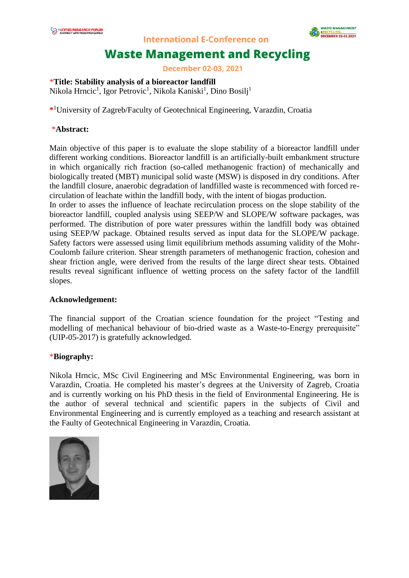

**International E-Conference on** 

# **Waste Management and Recycling**

**December 02-03, 2021** 

### \***Title: Stability analysis of a bioreactor landfill**

Nikola Hrncic<sup>1</sup>, Igor Petrovic<sup>1</sup>, Nikola Kaniski<sup>1</sup>, Dino Bosilj<sup>1</sup>

**\*** <sup>1</sup>University of Zagreb/Faculty of Geotechnical Engineering, Varazdin, Croatia

#### \***Abstract:**

Main objective of this paper is to evaluate the slope stability of a bioreactor landfill under different working conditions. Bioreactor landfill is an artificially-built embankment structure in which organically rich fraction (so-called methanogenic fraction) of mechanically and biologically treated (MBT) municipal solid waste (MSW) is disposed in dry conditions. After the landfill closure, anaerobic degradation of landfilled waste is recommenced with forced recirculation of leachate within the landfill body, with the intent of biogas production.

In order to asses the influence of leachate recirculation process on the slope stability of the bioreactor landfill, coupled analysis using SEEP/W and SLOPE/W software packages, was performed. The distribution of pore water pressures within the landfill body was obtained using SEEP/W package. Obtained results served as input data for the SLOPE/W package. Safety factors were assessed using limit equilibrium methods assuming validity of the Mohr-Coulomb failure criterion. Shear strength parameters of methanogenic fraction, cohesion and shear friction angle, were derived from the results of the large direct shear tests. Obtained results reveal significant influence of wetting process on the safety factor of the landfill slopes.

#### **Acknowledgement:**

The financial support of the Croatian science foundation for the project "Testing and modelling of mechanical behaviour of bio-dried waste as a Waste-to-Energy prerequisite" (UIP-05-2017) is gratefully acknowledged.

#### \***Biography:**

Nikola Hrncic, MSc Civil Engineering and MSc Environmental Engineering, was born in Varazdin, Croatia. He completed his master's degrees at the University of Zagreb, Croatia and is currently working on his PhD thesis in the field of Environmental Engineering. He is the author of several technical and scientific papers in the subjects of Civil and Environmental Engineering and is currently employed as a teaching and research assistant at the Faulty of Geotechnical Engineering in Varazdin, Croatia.